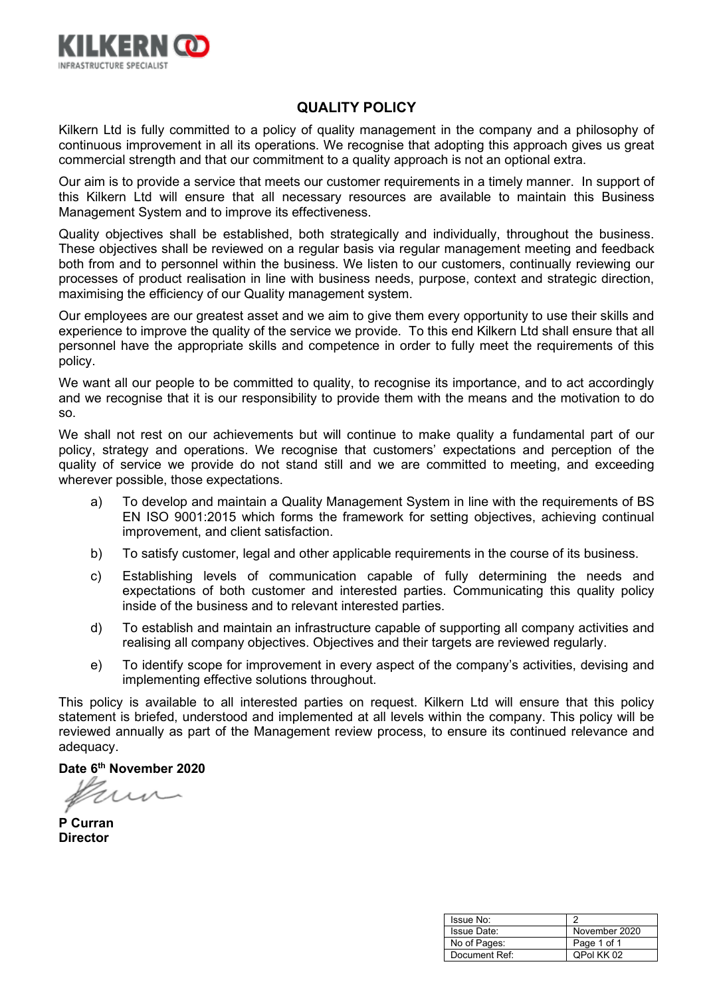

# **QUALITY POLICY**

Kilkern Ltd is fully committed to a policy of quality management in the company and a philosophy of continuous improvement in all its operations. We recognise that adopting this approach gives us great commercial strength and that our commitment to a quality approach is not an optional extra.

Our aim is to provide a service that meets our customer requirements in a timely manner. In support of this Kilkern Ltd will ensure that all necessary resources are available to maintain this Business Management System and to improve its effectiveness.

Quality objectives shall be established, both strategically and individually, throughout the business. These objectives shall be reviewed on a regular basis via regular management meeting and feedback both from and to personnel within the business. We listen to our customers, continually reviewing our processes of product realisation in line with business needs, purpose, context and strategic direction, maximising the efficiency of our Quality management system.

Our employees are our greatest asset and we aim to give them every opportunity to use their skills and experience to improve the quality of the service we provide. To this end Kilkern Ltd shall ensure that all personnel have the appropriate skills and competence in order to fully meet the requirements of this policy.

We want all our people to be committed to quality, to recognise its importance, and to act accordingly and we recognise that it is our responsibility to provide them with the means and the motivation to do so.

We shall not rest on our achievements but will continue to make quality a fundamental part of our policy, strategy and operations. We recognise that customers' expectations and perception of the quality of service we provide do not stand still and we are committed to meeting, and exceeding wherever possible, those expectations.

- a) To develop and maintain a Quality Management System in line with the requirements of BS EN ISO 9001:2015 which forms the framework for setting objectives, achieving continual improvement, and client satisfaction.
- b) To satisfy customer, legal and other applicable requirements in the course of its business.
- c) Establishing levels of communication capable of fully determining the needs and expectations of both customer and interested parties. Communicating this quality policy inside of the business and to relevant interested parties.
- d) To establish and maintain an infrastructure capable of supporting all company activities and realising all company objectives. Objectives and their targets are reviewed regularly.
- e) To identify scope for improvement in every aspect of the company's activities, devising and implementing effective solutions throughout.

This policy is available to all interested parties on request. Kilkern Ltd will ensure that this policy statement is briefed, understood and implemented at all levels within the company. This policy will be reviewed annually as part of the Management review process, to ensure its continued relevance and adequacy.

**P Curran Director**

| Issue No:     |               |
|---------------|---------------|
| Issue Date:   | November 2020 |
| No of Pages:  | Page 1 of 1   |
| Document Ref: | QPol KK 02    |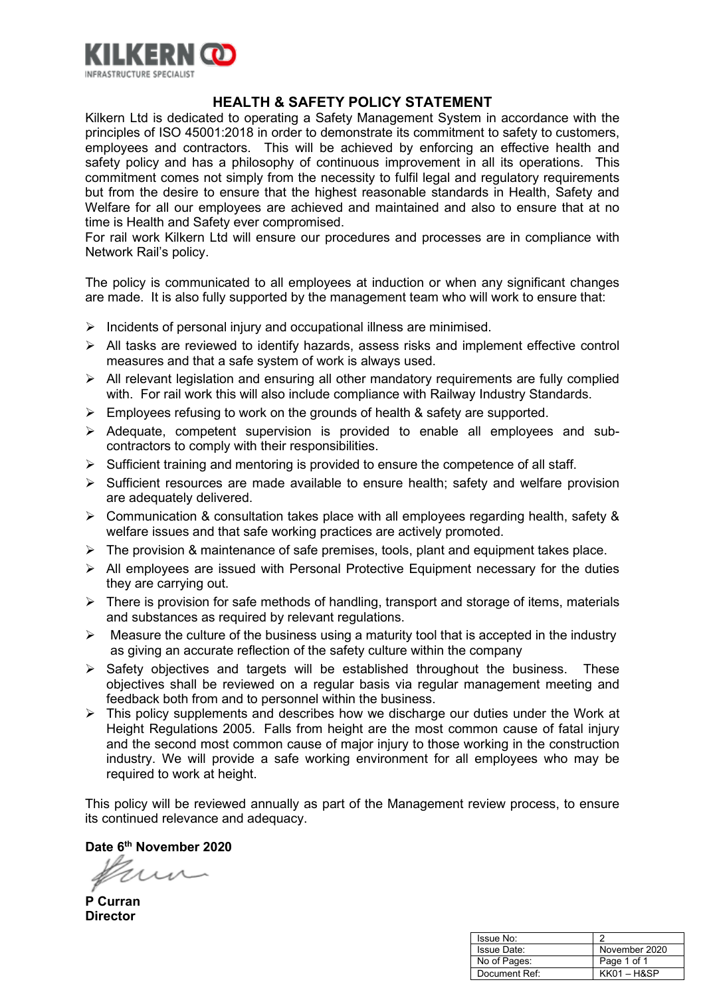

# **HEALTH & SAFETY POLICY STATEMENT**

Kilkern Ltd is dedicated to operating a Safety Management System in accordance with the principles of ISO 45001:2018 in order to demonstrate its commitment to safety to customers, employees and contractors. This will be achieved by enforcing an effective health and safety policy and has a philosophy of continuous improvement in all its operations. This commitment comes not simply from the necessity to fulfil legal and regulatory requirements but from the desire to ensure that the highest reasonable standards in Health, Safety and Welfare for all our employees are achieved and maintained and also to ensure that at no time is Health and Safety ever compromised.

For rail work Kilkern Ltd will ensure our procedures and processes are in compliance with Network Rail's policy.

The policy is communicated to all employees at induction or when any significant changes are made. It is also fully supported by the management team who will work to ensure that:

- $\triangleright$  Incidents of personal injury and occupational illness are minimised.
- $\triangleright$  All tasks are reviewed to identify hazards, assess risks and implement effective control measures and that a safe system of work is always used.
- All relevant legislation and ensuring all other mandatory requirements are fully complied with. For rail work this will also include compliance with Railway Industry Standards.
- $\triangleright$  Employees refusing to work on the grounds of health & safety are supported.
- $\triangleright$  Adequate, competent supervision is provided to enable all employees and subcontractors to comply with their responsibilities.
- $\triangleright$  Sufficient training and mentoring is provided to ensure the competence of all staff.
- $\triangleright$  Sufficient resources are made available to ensure health; safety and welfare provision are adequately delivered.
- $\triangleright$  Communication & consultation takes place with all employees regarding health, safety & welfare issues and that safe working practices are actively promoted.
- $\triangleright$  The provision & maintenance of safe premises, tools, plant and equipment takes place.
- $\triangleright$  All employees are issued with Personal Protective Equipment necessary for the duties they are carrying out.
- $\triangleright$  There is provision for safe methods of handling, transport and storage of items, materials and substances as required by relevant regulations.
- $\triangleright$  Measure the culture of the business using a maturity tool that is accepted in the industry as giving an accurate reflection of the safety culture within the company
- $\triangleright$  Safety objectives and targets will be established throughout the business. These objectives shall be reviewed on a regular basis via regular management meeting and feedback both from and to personnel within the business.
- $\triangleright$  This policy supplements and describes how we discharge our duties under the Work at Height Regulations 2005. Falls from height are the most common cause of fatal injury and the second most common cause of major injury to those working in the construction industry. We will provide a safe working environment for all employees who may be required to work at height.

This policy will be reviewed annually as part of the Management review process, to ensure its continued relevance and adequacy.

**P Curran Director**

| Issue No:     |               |
|---------------|---------------|
| Issue Date:   | November 2020 |
| No of Pages:  | Page 1 of 1   |
| Document Ref: | $KK01 - H8SP$ |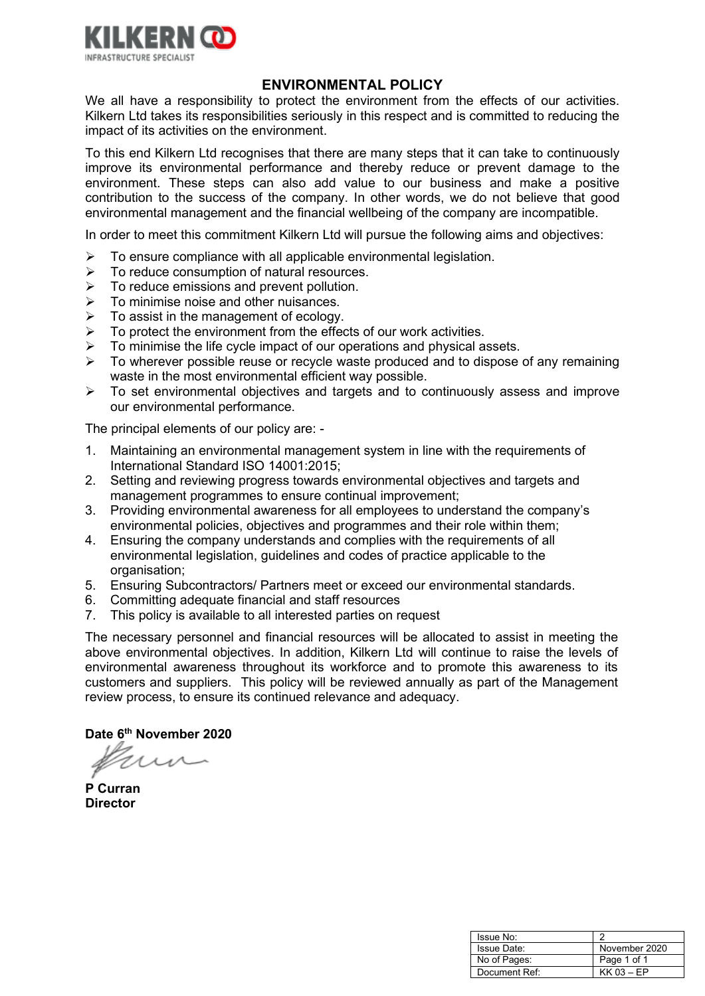

# **ENVIRONMENTAL POLICY**

We all have a responsibility to protect the environment from the effects of our activities. Kilkern Ltd takes its responsibilities seriously in this respect and is committed to reducing the impact of its activities on the environment.

To this end Kilkern Ltd recognises that there are many steps that it can take to continuously improve its environmental performance and thereby reduce or prevent damage to the environment. These steps can also add value to our business and make a positive contribution to the success of the company. In other words, we do not believe that good environmental management and the financial wellbeing of the company are incompatible.

In order to meet this commitment Kilkern Ltd will pursue the following aims and objectives:

- $\triangleright$  To ensure compliance with all applicable environmental legislation.
- $\triangleright$  To reduce consumption of natural resources.
- $\triangleright$  To reduce emissions and prevent pollution.
- $\triangleright$  To minimise noise and other nuisances.
- $\triangleright$  To assist in the management of ecology.
- $\triangleright$  To protect the environment from the effects of our work activities.
- $\triangleright$  To minimise the life cycle impact of our operations and physical assets.
- $\triangleright$  To wherever possible reuse or recycle waste produced and to dispose of any remaining waste in the most environmental efficient way possible.
- $\triangleright$  To set environmental objectives and targets and to continuously assess and improve our environmental performance.

The principal elements of our policy are: -

- 1. Maintaining an environmental management system in line with the requirements of International Standard ISO 14001:2015;
- 2. Setting and reviewing progress towards environmental objectives and targets and management programmes to ensure continual improvement;
- 3. Providing environmental awareness for all employees to understand the company's environmental policies, objectives and programmes and their role within them;
- 4. Ensuring the company understands and complies with the requirements of all environmental legislation, guidelines and codes of practice applicable to the organisation;
- 5. Ensuring Subcontractors/ Partners meet or exceed our environmental standards.
- 6. Committing adequate financial and staff resources
- 7. This policy is available to all interested parties on request

The necessary personnel and financial resources will be allocated to assist in meeting the above environmental objectives. In addition, Kilkern Ltd will continue to raise the levels of environmental awareness throughout its workforce and to promote this awareness to its customers and suppliers. This policy will be reviewed annually as part of the Management review process, to ensure its continued relevance and adequacy.

**P Curran Director**

| Issue No:     |               |
|---------------|---------------|
| Issue Date:   | November 2020 |
| No of Pages:  | Page 1 of 1   |
| Document Ref: | $KK$ 03 – EP  |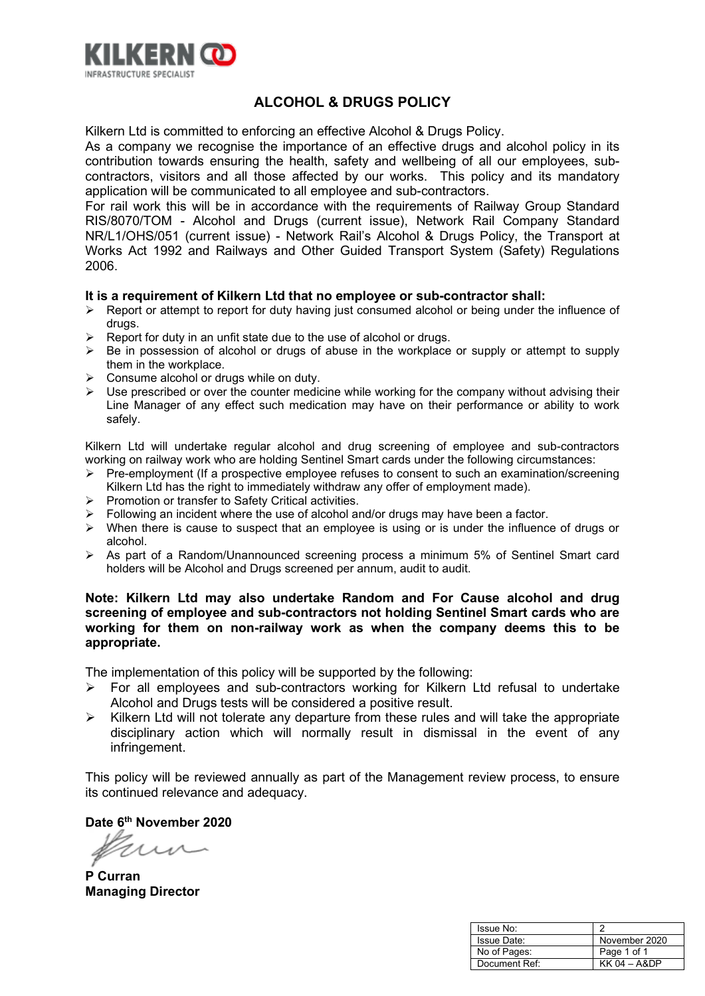

# **ALCOHOL & DRUGS POLICY**

Kilkern Ltd is committed to enforcing an effective Alcohol & Drugs Policy.

As a company we recognise the importance of an effective drugs and alcohol policy in its contribution towards ensuring the health, safety and wellbeing of all our employees, subcontractors, visitors and all those affected by our works. This policy and its mandatory application will be communicated to all employee and sub-contractors.

For rail work this will be in accordance with the requirements of Railway Group Standard RIS/8070/TOM - Alcohol and Drugs (current issue), Network Rail Company Standard NR/L1/OHS/051 (current issue) - Network Rail's Alcohol & Drugs Policy, the Transport at Works Act 1992 and Railways and Other Guided Transport System (Safety) Regulations 2006.

#### **It is a requirement of Kilkern Ltd that no employee or sub-contractor shall:**

- $\triangleright$  Report or attempt to report for duty having just consumed alcohol or being under the influence of drugs.
- $\triangleright$  Report for duty in an unfit state due to the use of alcohol or drugs.
- > Be in possession of alcohol or drugs of abuse in the workplace or supply or attempt to supply them in the workplace.
- $\triangleright$  Consume alcohol or drugs while on duty.
- $\triangleright$  Use prescribed or over the counter medicine while working for the company without advising their Line Manager of any effect such medication may have on their performance or ability to work safely.

Kilkern Ltd will undertake regular alcohol and drug screening of employee and sub-contractors working on railway work who are holding Sentinel Smart cards under the following circumstances:

- $\triangleright$  Pre-employment (If a prospective employee refuses to consent to such an examination/screening Kilkern Ltd has the right to immediately withdraw any offer of employment made).
- $\triangleright$  Promotion or transfer to Safety Critical activities.
- $\triangleright$  Following an incident where the use of alcohol and/or drugs may have been a factor.
- $\triangleright$  When there is cause to suspect that an employee is using or is under the influence of drugs or alcohol.
- As part of a Random/Unannounced screening process a minimum 5% of Sentinel Smart card holders will be Alcohol and Drugs screened per annum, audit to audit.

#### **Note: Kilkern Ltd may also undertake Random and For Cause alcohol and drug screening of employee and sub-contractors not holding Sentinel Smart cards who are working for them on non-railway work as when the company deems this to be appropriate.**

The implementation of this policy will be supported by the following:

- $\triangleright$  For all employees and sub-contractors working for Kilkern Ltd refusal to undertake Alcohol and Drugs tests will be considered a positive result.
- $\triangleright$  Kilkern Ltd will not tolerate any departure from these rules and will take the appropriate disciplinary action which will normally result in dismissal in the event of any infringement.

This policy will be reviewed annually as part of the Management review process, to ensure its continued relevance and adequacy.

**P Curran Managing Director**

| Issue No:     |                |
|---------------|----------------|
| Issue Date:   | November 2020  |
| No of Pages:  | Page 1 of 1    |
| Document Ref: | $KK$ 04 - A&DP |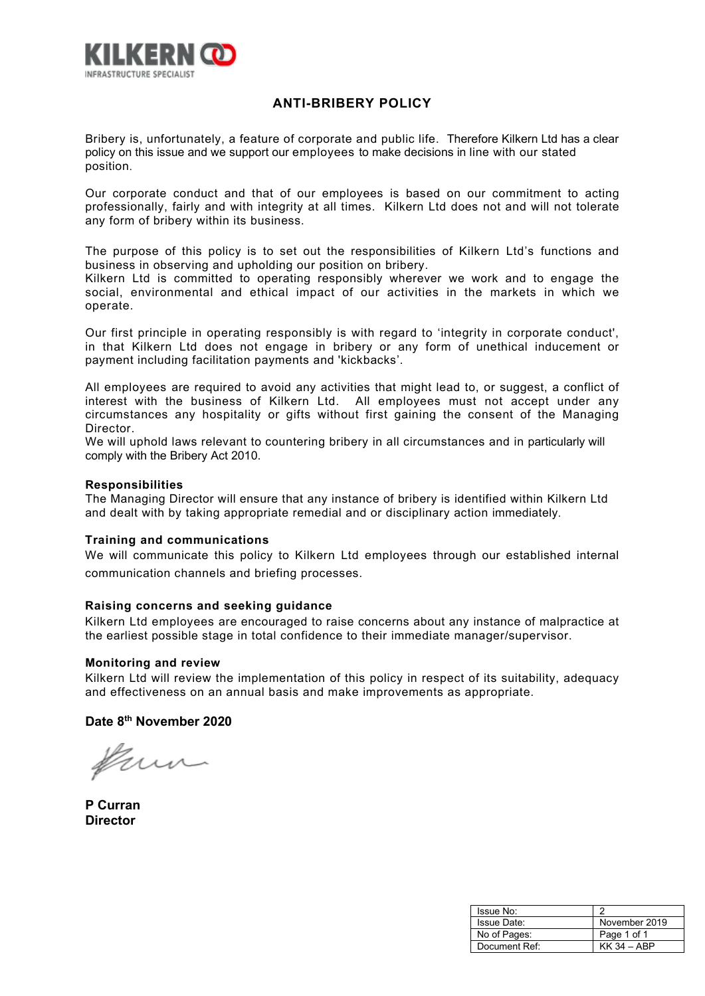

## **ANTI-BRIBERY POLICY**

Bribery is, unfortunately, a feature of corporate and public life. Therefore Kilkern Ltd has a clear policy on this issue and we support our employees to make decisions in line with our stated position.

Our corporate conduct and that of our employees is based on our commitment to acting professionally, fairly and with integrity at all times. Kilkern Ltd does not and will not tolerate any form of bribery within its business.

The purpose of this policy is to set out the responsibilities of Kilkern Ltd's functions and business in observing and upholding our position on bribery.

Kilkern Ltd is committed to operating responsibly wherever we work and to engage the social, environmental and ethical impact of our activities in the markets in which we operate.

Our first principle in operating responsibly is with regard to 'integrity in corporate conduct', in that Kilkern Ltd does not engage in bribery or any form of unethical inducement or payment including facilitation payments and 'kickbacks'.

All employees are required to avoid any activities that might lead to, or suggest, a conflict of interest with the business of Kilkern Ltd. All employees must not accept under any circumstances any hospitality or gifts without first gaining the consent of the Managing Director.

We will uphold laws relevant to countering bribery in all circumstances and in particularly will comply with the Bribery Act 2010.

#### **Responsibilities**

The Managing Director will ensure that any instance of bribery is identified within Kilkern Ltd and dealt with by taking appropriate remedial and or disciplinary action immediately.

#### **Training and communications**

We will communicate this policy to Kilkern Ltd employees through our established internal communication channels and briefing processes.

#### **Raising concerns and seeking guidance**

Kilkern Ltd employees are encouraged to raise concerns about any instance of malpractice at the earliest possible stage in total confidence to their immediate manager/supervisor.

#### **Monitoring and review**

Kilkern Ltd will review the implementation of this policy in respect of its suitability, adequacy and effectiveness on an annual basis and make improvements as appropriate.

frum

**P Curran Director**

| Issue No:     |               |
|---------------|---------------|
| Issue Date:   | November 2019 |
| No of Pages:  | Page 1 of 1   |
| Document Ref: | $KK$ 34 - ABP |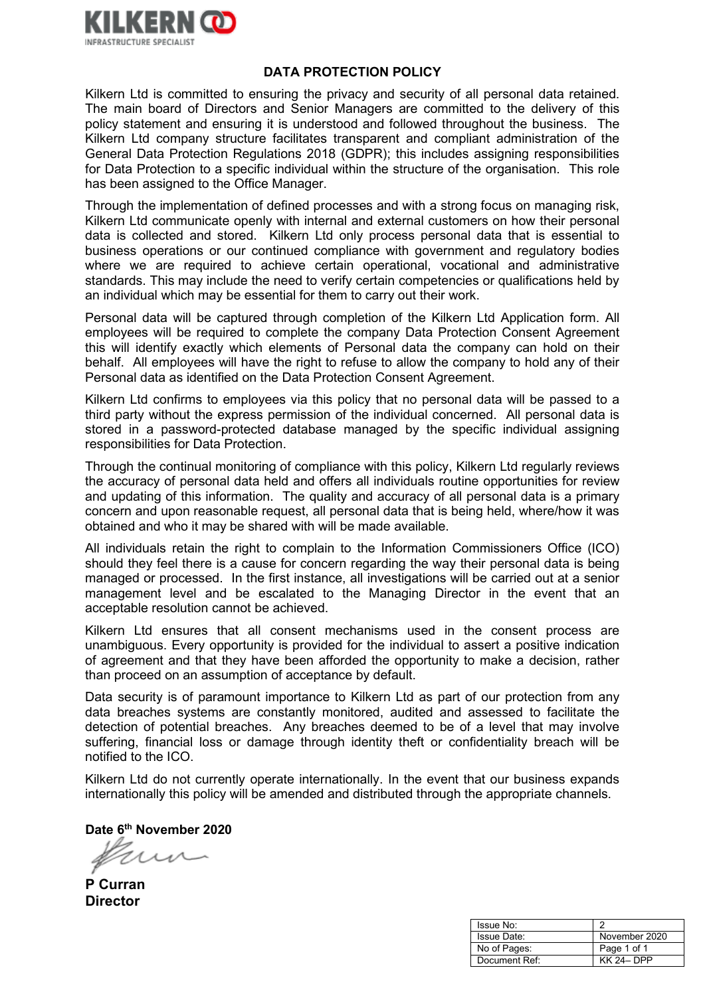

## **DATA PROTECTION POLICY**

Kilkern Ltd is committed to ensuring the privacy and security of all personal data retained. The main board of Directors and Senior Managers are committed to the delivery of this policy statement and ensuring it is understood and followed throughout the business. The Kilkern Ltd company structure facilitates transparent and compliant administration of the General Data Protection Regulations 2018 (GDPR); this includes assigning responsibilities for Data Protection to a specific individual within the structure of the organisation. This role has been assigned to the Office Manager.

Through the implementation of defined processes and with a strong focus on managing risk, Kilkern Ltd communicate openly with internal and external customers on how their personal data is collected and stored. Kilkern Ltd only process personal data that is essential to business operations or our continued compliance with government and regulatory bodies where we are required to achieve certain operational, vocational and administrative standards. This may include the need to verify certain competencies or qualifications held by an individual which may be essential for them to carry out their work.

Personal data will be captured through completion of the Kilkern Ltd Application form. All employees will be required to complete the company Data Protection Consent Agreement this will identify exactly which elements of Personal data the company can hold on their behalf. All employees will have the right to refuse to allow the company to hold any of their Personal data as identified on the Data Protection Consent Agreement.

Kilkern Ltd confirms to employees via this policy that no personal data will be passed to a third party without the express permission of the individual concerned. All personal data is stored in a password-protected database managed by the specific individual assigning responsibilities for Data Protection.

Through the continual monitoring of compliance with this policy, Kilkern Ltd regularly reviews the accuracy of personal data held and offers all individuals routine opportunities for review and updating of this information. The quality and accuracy of all personal data is a primary concern and upon reasonable request, all personal data that is being held, where/how it was obtained and who it may be shared with will be made available.

All individuals retain the right to complain to the Information Commissioners Office (ICO) should they feel there is a cause for concern regarding the way their personal data is being managed or processed. In the first instance, all investigations will be carried out at a senior management level and be escalated to the Managing Director in the event that an acceptable resolution cannot be achieved.

Kilkern Ltd ensures that all consent mechanisms used in the consent process are unambiguous. Every opportunity is provided for the individual to assert a positive indication of agreement and that they have been afforded the opportunity to make a decision, rather than proceed on an assumption of acceptance by default.

Data security is of paramount importance to Kilkern Ltd as part of our protection from any data breaches systems are constantly monitored, audited and assessed to facilitate the detection of potential breaches. Any breaches deemed to be of a level that may involve suffering, financial loss or damage through identity theft or confidentiality breach will be notified to the ICO.

Kilkern Ltd do not currently operate internationally. In the event that our business expands internationally this policy will be amended and distributed through the appropriate channels.

**P Curran Director**

| Issue No:    | ◠                |
|--------------|------------------|
| Issue Date:  | November 2020    |
| No of Pages: | Page 1 of 1      |
| Document Ref | <b>KK 24-DPP</b> |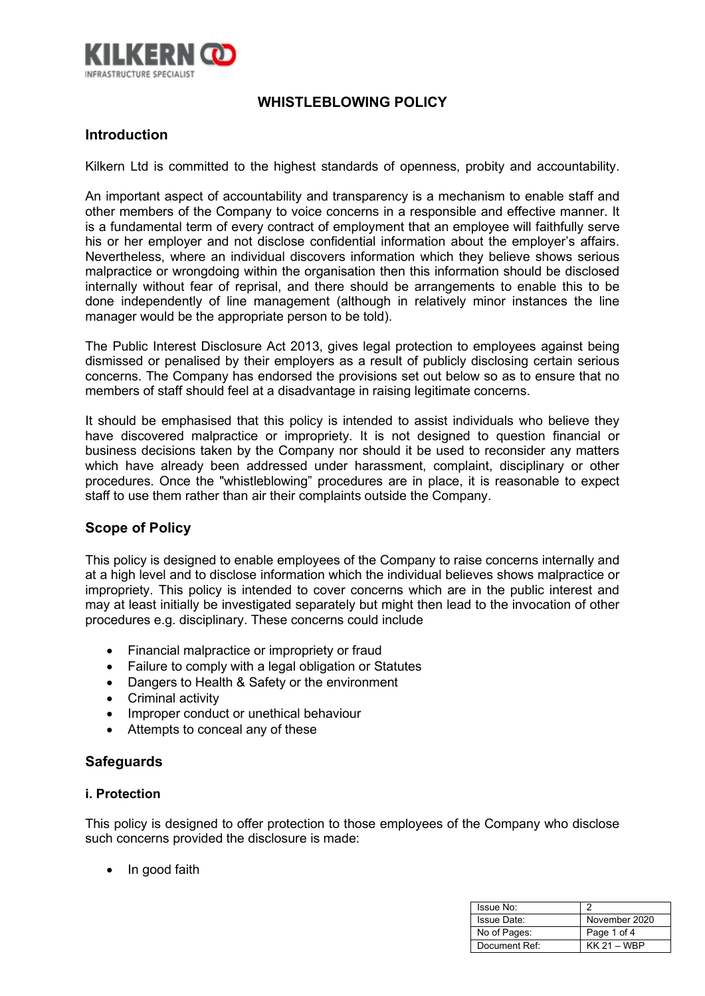

# **WHISTLEBLOWING POLICY**

# **Introduction**

Kilkern Ltd is committed to the highest standards of openness, probity and accountability.

An important aspect of accountability and transparency is a mechanism to enable staff and other members of the Company to voice concerns in a responsible and effective manner. It is a fundamental term of every contract of employment that an employee will faithfully serve his or her employer and not disclose confidential information about the employer's affairs. Nevertheless, where an individual discovers information which they believe shows serious malpractice or wrongdoing within the organisation then this information should be disclosed internally without fear of reprisal, and there should be arrangements to enable this to be done independently of line management (although in relatively minor instances the line manager would be the appropriate person to be told).

The Public Interest Disclosure Act 2013, gives legal protection to employees against being dismissed or penalised by their employers as a result of publicly disclosing certain serious concerns. The Company has endorsed the provisions set out below so as to ensure that no members of staff should feel at a disadvantage in raising legitimate concerns.

It should be emphasised that this policy is intended to assist individuals who believe they have discovered malpractice or impropriety. It is not designed to question financial or business decisions taken by the Company nor should it be used to reconsider any matters which have already been addressed under harassment, complaint, disciplinary or other procedures. Once the "whistleblowing" procedures are in place, it is reasonable to expect staff to use them rather than air their complaints outside the Company.

# **Scope of Policy**

This policy is designed to enable employees of the Company to raise concerns internally and at a high level and to disclose information which the individual believes shows malpractice or impropriety. This policy is intended to cover concerns which are in the public interest and may at least initially be investigated separately but might then lead to the invocation of other procedures e.g. disciplinary. These concerns could include

- Financial malpractice or impropriety or fraud
- Failure to comply with a legal obligation or Statutes
- Dangers to Health & Safety or the environment
- Criminal activity
- Improper conduct or unethical behaviour
- Attempts to conceal any of these

## **Safeguards**

#### **i. Protection**

This policy is designed to offer protection to those employees of the Company who disclose such concerns provided the disclosure is made:

• In good faith

| Issue No:     |               |
|---------------|---------------|
| Issue Date:   | November 2020 |
| No of Pages:  | Page 1 of 4   |
| Document Ref: | $KK 21 - WBP$ |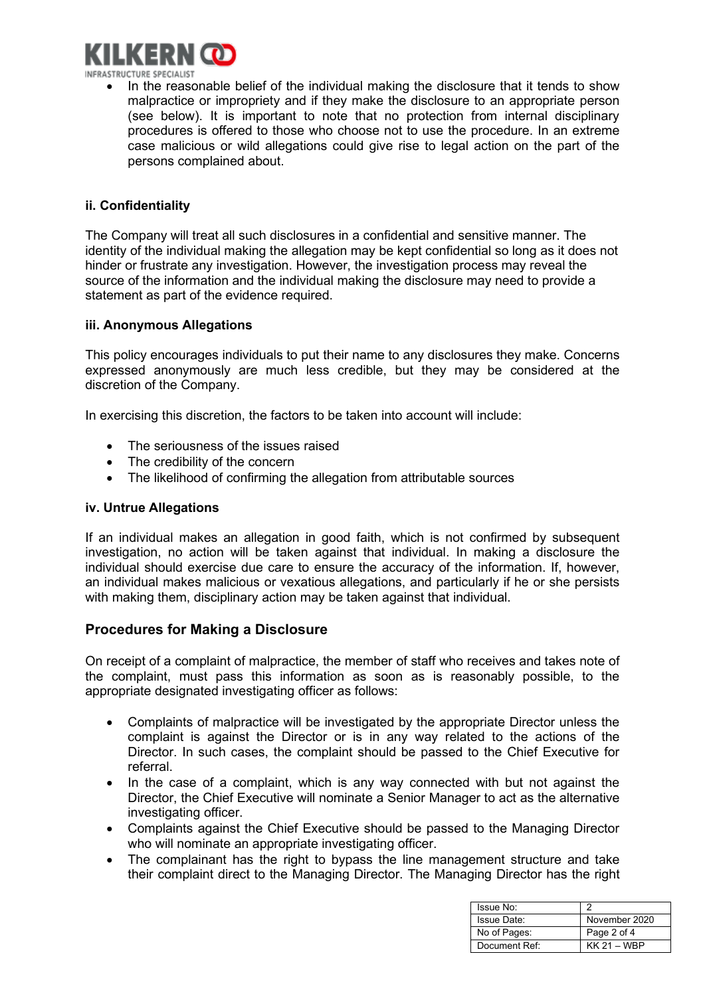

INFRASTRUCTURE SPECIALIST

• In the reasonable belief of the individual making the disclosure that it tends to show malpractice or impropriety and if they make the disclosure to an appropriate person (see below). It is important to note that no protection from internal disciplinary procedures is offered to those who choose not to use the procedure. In an extreme case malicious or wild allegations could give rise to legal action on the part of the persons complained about.

#### **ii. Confidentiality**

The Company will treat all such disclosures in a confidential and sensitive manner. The identity of the individual making the allegation may be kept confidential so long as it does not hinder or frustrate any investigation. However, the investigation process may reveal the source of the information and the individual making the disclosure may need to provide a statement as part of the evidence required.

#### **iii. Anonymous Allegations**

This policy encourages individuals to put their name to any disclosures they make. Concerns expressed anonymously are much less credible, but they may be considered at the discretion of the Company.

In exercising this discretion, the factors to be taken into account will include:

- The seriousness of the issues raised
- The credibility of the concern
- The likelihood of confirming the allegation from attributable sources

#### **iv. Untrue Allegations**

If an individual makes an allegation in good faith, which is not confirmed by subsequent investigation, no action will be taken against that individual. In making a disclosure the individual should exercise due care to ensure the accuracy of the information. If, however, an individual makes malicious or vexatious allegations, and particularly if he or she persists with making them, disciplinary action may be taken against that individual.

## **Procedures for Making a Disclosure**

On receipt of a complaint of malpractice, the member of staff who receives and takes note of the complaint, must pass this information as soon as is reasonably possible, to the appropriate designated investigating officer as follows:

- Complaints of malpractice will be investigated by the appropriate Director unless the complaint is against the Director or is in any way related to the actions of the Director. In such cases, the complaint should be passed to the Chief Executive for referral.
- In the case of a complaint, which is any way connected with but not against the Director, the Chief Executive will nominate a Senior Manager to act as the alternative investigating officer.
- Complaints against the Chief Executive should be passed to the Managing Director who will nominate an appropriate investigating officer.
- The complainant has the right to bypass the line management structure and take their complaint direct to the Managing Director. The Managing Director has the right

| Issue No:     |               |
|---------------|---------------|
| Issue Date:   | November 2020 |
| No of Pages:  | Page 2 of 4   |
| Document Ref: | KK 21 - WBP   |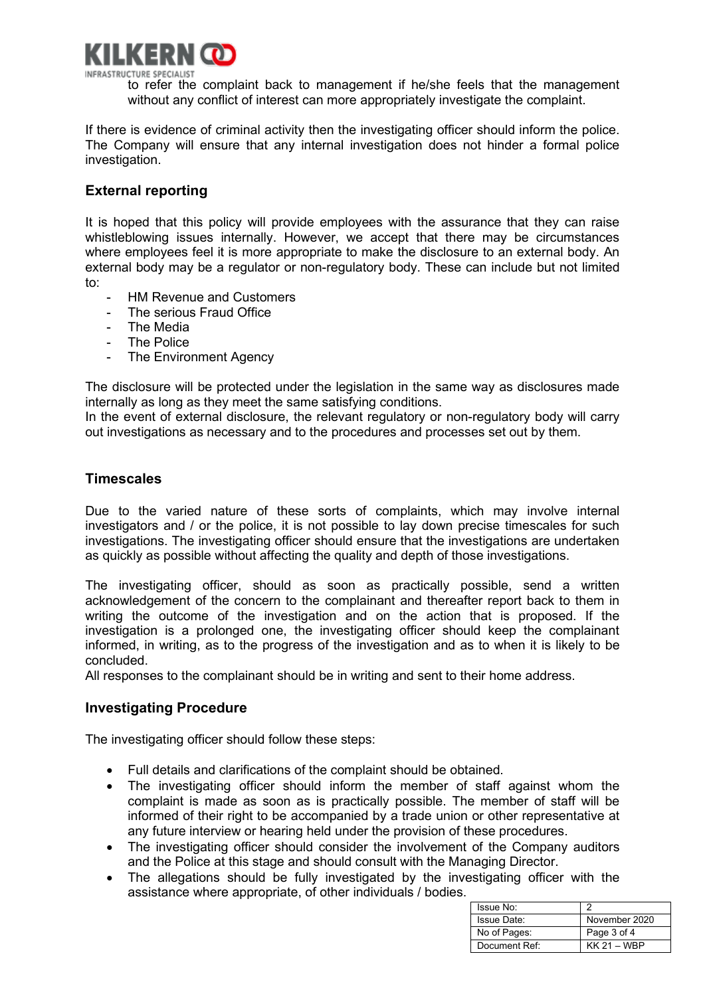

to refer the complaint back to management if he/she feels that the management without any conflict of interest can more appropriately investigate the complaint.

If there is evidence of criminal activity then the investigating officer should inform the police. The Company will ensure that any internal investigation does not hinder a formal police investigation.

# **External reporting**

It is hoped that this policy will provide employees with the assurance that they can raise whistleblowing issues internally. However, we accept that there may be circumstances where employees feel it is more appropriate to make the disclosure to an external body. An external body may be a regulator or non-regulatory body. These can include but not limited to:

- HM Revenue and Customers
- The serious Fraud Office
- The Media
- The Police
- The Environment Agency

The disclosure will be protected under the legislation in the same way as disclosures made internally as long as they meet the same satisfying conditions.

In the event of external disclosure, the relevant regulatory or non-regulatory body will carry out investigations as necessary and to the procedures and processes set out by them.

## **Timescales**

Due to the varied nature of these sorts of complaints, which may involve internal investigators and / or the police, it is not possible to lay down precise timescales for such investigations. The investigating officer should ensure that the investigations are undertaken as quickly as possible without affecting the quality and depth of those investigations.

The investigating officer, should as soon as practically possible, send a written acknowledgement of the concern to the complainant and thereafter report back to them in writing the outcome of the investigation and on the action that is proposed. If the investigation is a prolonged one, the investigating officer should keep the complainant informed, in writing, as to the progress of the investigation and as to when it is likely to be concluded.

All responses to the complainant should be in writing and sent to their home address.

## **Investigating Procedure**

The investigating officer should follow these steps:

- Full details and clarifications of the complaint should be obtained.
- The investigating officer should inform the member of staff against whom the complaint is made as soon as is practically possible. The member of staff will be informed of their right to be accompanied by a trade union or other representative at any future interview or hearing held under the provision of these procedures.
- The investigating officer should consider the involvement of the Company auditors and the Police at this stage and should consult with the Managing Director.
- The allegations should be fully investigated by the investigating officer with the assistance where appropriate, of other individuals / bodies.

| Issue No:     |               |
|---------------|---------------|
| Issue Date:   | November 2020 |
| No of Pages:  | Page 3 of 4   |
| Document Ref: | $KK 21 - WBP$ |